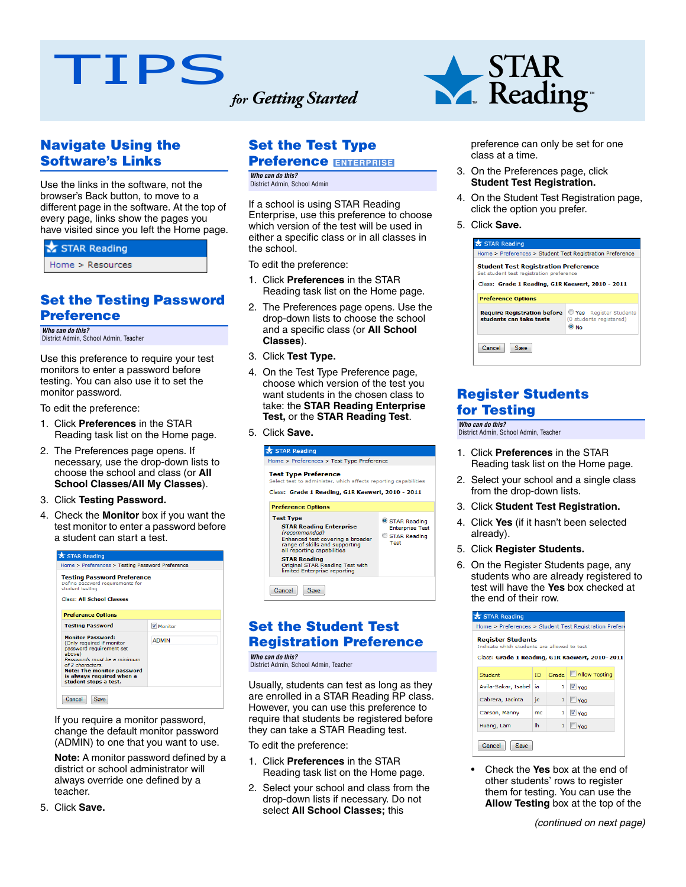# TIPS *for Getting Started*

**Navigate Using the Software's Links**

Use the links in the software, not the browser's Back button, to move to a different page in the software. At the top of every page, links show the pages you have visited since you left the Home page.

#### STAR Reading

Home > Resources

#### **Set the Testing Password Preference**

*Who can do this?* District Admin, School Admin, Teacher

Use this preference to require your test monitors to enter a password before testing. You can also use it to set the monitor password.

To edit the preference:

- 1. Click **Preferences** in the STAR Reading task list on the Home page.
- 2. The Preferences page opens. If necessary, use the drop-down lists to choose the school and class (or **All School Classes/All My Classes**).
- 3. Click **Testing Password.**
- 4. Check the **Monitor** box if you want the test monitor to enter a password before a student can start a test.



If you require a monitor password, change the default monitor password (ADMIN) to one that you want to use.

**Note:** A monitor password defined by a district or school administrator will always override one defined by a teacher.

5. Click **Save.**

# **Set the Test Type**

# **Preference ENTERPRISE**

*Who can do this?* District Admin, School Admin

If a school is using STAR Reading Enterprise, use this preference to choose which version of the test will be used in either a specific class or in all classes in the school.

To edit the preference:

- 1. Click **Preferences** in the STAR Reading task list on the Home page.
- 2. The Preferences page opens. Use the drop-down lists to choose the school and a specific class (or **All School Classes**).
- 3. Click **Test Type.**
- 4. On the Test Type Preference page, choose which version of the test you want students in the chosen class to take: the **STAR Reading Enterprise Test,** or the **STAR Reading Test**.
- 5. Click **Save.**

| STAR Reading                                                                                                                                                                                                                                                      |                                                                |  |  |  |  |
|-------------------------------------------------------------------------------------------------------------------------------------------------------------------------------------------------------------------------------------------------------------------|----------------------------------------------------------------|--|--|--|--|
| Home > Preferences > Test Type Preference                                                                                                                                                                                                                         |                                                                |  |  |  |  |
| <b>Test Type Preference</b><br>Select test to administer, which affects reporting capabilities                                                                                                                                                                    |                                                                |  |  |  |  |
| Class: Grade 1 Reading, G1R Kaewert, 2010 - 2011                                                                                                                                                                                                                  |                                                                |  |  |  |  |
| <b>Preference Options</b>                                                                                                                                                                                                                                         |                                                                |  |  |  |  |
| <b>Test Type</b><br><b>STAR Reading Enterprise</b><br>(recommended)<br>Enhanced test covering a broader<br>range of skills and supporting<br>all reporting capabilities<br><b>STAR Reading</b><br>Original STAR Reading Test with<br>limited Enterprise reporting | STAR Reading<br><b>Enterprise Test</b><br>STAR Reading<br>Test |  |  |  |  |
| Cancel<br>Save                                                                                                                                                                                                                                                    |                                                                |  |  |  |  |

#### **Set the Student Test Registration Preference**

*Who can do this?* District Admin, School Admin, Teacher

Usually, students can test as long as they are enrolled in a STAR Reading RP class. However, you can use this preference to require that students be registered before they can take a STAR Reading test.

To edit the preference:

- 1. Click **Preferences** in the STAR Reading task list on the Home page.
- 2. Select your school and class from the drop-down lists if necessary. Do not select **All School Classes;** this



preference can only be set for one class at a time.

- 3. On the Preferences page, click **Student Test Registration.**
- 4. On the Student Test Registration page, click the option you prefer.
- 5. Click **Save.**



#### **Register Students for Testing**

*Who can do this?* District Admin, School Admin, Teacher

- 1. Click **Preferences** in the STAR Reading task list on the Home page.
- 2. Select your school and a single class from the drop-down lists.
- 3. Click **Student Test Registration.**
- 4. Click **Yes** (if it hasn't been selected already).
- 5. Click **Register Students.**
- 6. On the Register Students page, any students who are already registered to test will have the **Yes** box checked at the end of their row.

| Home > Preferences > Student Test Registration Prefere<br><b>Register Students</b><br>Indicate which students are allowed to test<br>Class: Grade 1 Reading, G1R Kaewert, 2010-2011 |           |                |                    |  |  |
|-------------------------------------------------------------------------------------------------------------------------------------------------------------------------------------|-----------|----------------|--------------------|--|--|
| Student                                                                                                                                                                             | ID.       | Grade          | Allow Testing      |  |  |
| Avila-Sakar, Isabel                                                                                                                                                                 | ia.       | 1              | V Yes              |  |  |
| Cabrera, Jacinta                                                                                                                                                                    | jc        | 1              | <b>Yes</b>         |  |  |
| Carson, Manny                                                                                                                                                                       | mc        | 1 <sup>1</sup> | V Yes              |  |  |
| Huang, Lam                                                                                                                                                                          | <b>Ih</b> | $\mathbf{1}$   | $\blacksquare$ Yes |  |  |
| Cancel<br>Save                                                                                                                                                                      |           |                |                    |  |  |

• Check the **Yes** box at the end of other students' rows to register them for testing. You can use the **Allow Testing** box at the top of the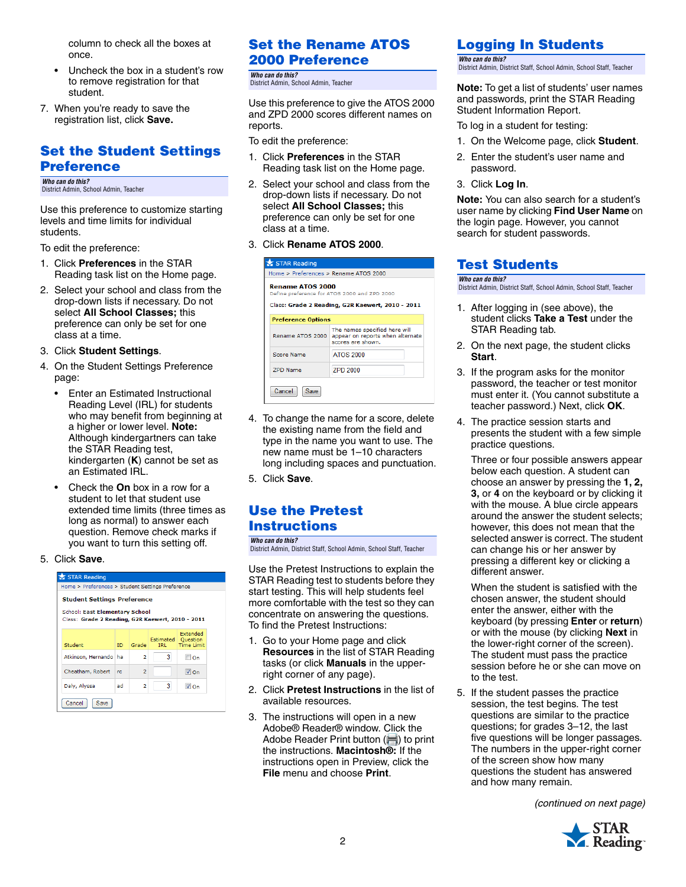column to check all the boxes at once.

- Uncheck the box in a student's row to remove registration for that student.
- 7. When you're ready to save the registration list, click **Save.**

#### **Set the Student Settings Preference**

*Who can do this?* District Admin, School Admin, Teacher

Use this preference to customize starting levels and time limits for individual students.

To edit the preference:

- 1. Click **Preferences** in the STAR Reading task list on the Home page.
- 2. Select your school and class from the drop-down lists if necessary. Do not select **All School Classes;** this preference can only be set for one class at a time.

#### 3. Click **Student Settings**.

- 4. On the Student Settings Preference page:
	- Enter an Estimated Instructional Reading Level (IRL) for students who may benefit from beginning at a higher or lower level. **Note:**  Although kindergartners can take the STAR Reading test, kindergarten (**K**) cannot be set as an Estimated IRL.
	- Check the **On** box in a row for a student to let that student use extended time limits (three times as long as normal) to answer each question. Remove check marks if you want to turn this setting off.

#### 5. Click **Save**.

| STAR Reading                                                                              |                                                  |                |                  |                                           |  |
|-------------------------------------------------------------------------------------------|--------------------------------------------------|----------------|------------------|-------------------------------------------|--|
|                                                                                           | Home > Preferences > Student Settings Preference |                |                  |                                           |  |
| <b>Student Settings Preference</b>                                                        |                                                  |                |                  |                                           |  |
| <b>School: East Elementary School</b><br>Class: Grade 2 Reading, G2R Kaewert, 2010 - 2011 |                                                  |                |                  |                                           |  |
| Student                                                                                   | ID.                                              | Grade          | Estimated<br>TRI | Extended<br>Question<br><b>Time Limit</b> |  |
| Atkinson, Hernando                                                                        | l ha                                             | 2              | з                | ⊟on                                       |  |
| Cheatham, Robert                                                                          | rc.                                              | $\overline{2}$ |                  | $\sqrt{2}$ On                             |  |
| Dalv, Alvssa                                                                              | ad                                               | $\overline{a}$ | 3                | $\sqrt{2}$ On                             |  |
| Cancel<br>Save                                                                            |                                                  |                |                  |                                           |  |

## **Set the Rename ATOS 2000 Preference**

*Who can do this?* District Admin, School Admin, Teacher

Use this preference to give the ATOS 2000 and ZPD 2000 scores different names on reports.

To edit the preference:

- 1. Click **Preferences** in the STAR Reading task list on the Home page.
- 2. Select your school and class from the drop-down lists if necessary. Do not select **All School Classes;** this preference can only be set for one class at a time.
- 3. Click **Rename ATOS 2000**.

| STAR Reading                                                                                                                |                                                                                        |  |  |
|-----------------------------------------------------------------------------------------------------------------------------|----------------------------------------------------------------------------------------|--|--|
| Home > Preferences > Rename ATOS 2000                                                                                       |                                                                                        |  |  |
| <b>Rename ATOS 2000</b><br>Define preference for ATOS 2000 and ZPD 2000<br>Class: Grade 2 Reading, G2R Kaewert, 2010 - 2011 |                                                                                        |  |  |
| <b>Preference Options</b>                                                                                                   |                                                                                        |  |  |
| Rename ATOS 2000                                                                                                            | The names specified here will<br>appear on reports when alternate<br>scores are shown. |  |  |
| Score Name                                                                                                                  | <b>ATOS 2000</b>                                                                       |  |  |
| <b>ZPD Name</b>                                                                                                             | <b>7PD 2000</b>                                                                        |  |  |
| Cancel<br>Save                                                                                                              |                                                                                        |  |  |

- 4. To change the name for a score, delete the existing name from the field and type in the name you want to use. The new name must be 1–10 characters long including spaces and punctuation.
- 5. Click **Save**.

## **Use the Pretest Instructions**

*Who can do this?* District Admin, District Staff, School Admin, School Staff, Teacher

Use the Pretest Instructions to explain the STAR Reading test to students before they start testing. This will help students feel more comfortable with the test so they can concentrate on answering the questions. To find the Pretest Instructions:

- 1. Go to your Home page and click **Resources** in the list of STAR Reading tasks (or click **Manuals** in the upperright corner of any page).
- 2. Click **Pretest Instructions** in the list of available resources.
- 3. The instructions will open in a new Adobe® Reader® window. Click the Adobe Reader Print button  $($  $\blacksquare)$  to print the instructions. **Macintosh®:** If the instructions open in Preview, click the **File** menu and choose **Print**.

#### **Logging In Students**

*Who can do this?* District Admin, District Staff, School Admin, School Staff, Teacher

**Note:** To get a list of students' user names and passwords, print the STAR Reading Student Information Report.

- To log in a student for testing:
- 1. On the Welcome page, click **Student**.
- 2. Enter the student's user name and password.
- 3. Click **Log In**.

**Note:** You can also search for a student's user name by clicking **Find User Name** on the login page. However, you cannot search for student passwords.

#### **Test Students**

*Who can do this?* District Admin, District Staff, School Admin, School Staff, Teacher

- 1. After logging in (see above), the student clicks **Take a Test** under the STAR Reading tab.
- 2. On the next page, the student clicks **Start**.
- 3. If the program asks for the monitor password, the teacher or test monitor must enter it. (You cannot substitute a teacher password.) Next, click **OK**.
- 4. The practice session starts and presents the student with a few simple practice questions.

Three or four possible answers appear below each question. A student can choose an answer by pressing the **1, 2, 3,** or **4** on the keyboard or by clicking it with the mouse. A blue circle appears around the answer the student selects; however, this does not mean that the selected answer is correct. The student can change his or her answer by pressing a different key or clicking a different answer.

When the student is satisfied with the chosen answer, the student should enter the answer, either with the keyboard (by pressing **Enter** or **return**) or with the mouse (by clicking **Next** in the lower-right corner of the screen). The student must pass the practice session before he or she can move on to the test.

5. If the student passes the practice session, the test begins. The test questions are similar to the practice questions; for grades 3–12, the last five questions will be longer passages. The numbers in the upper-right corner of the screen show how many questions the student has answered and how many remain.

*(continued on next page)*